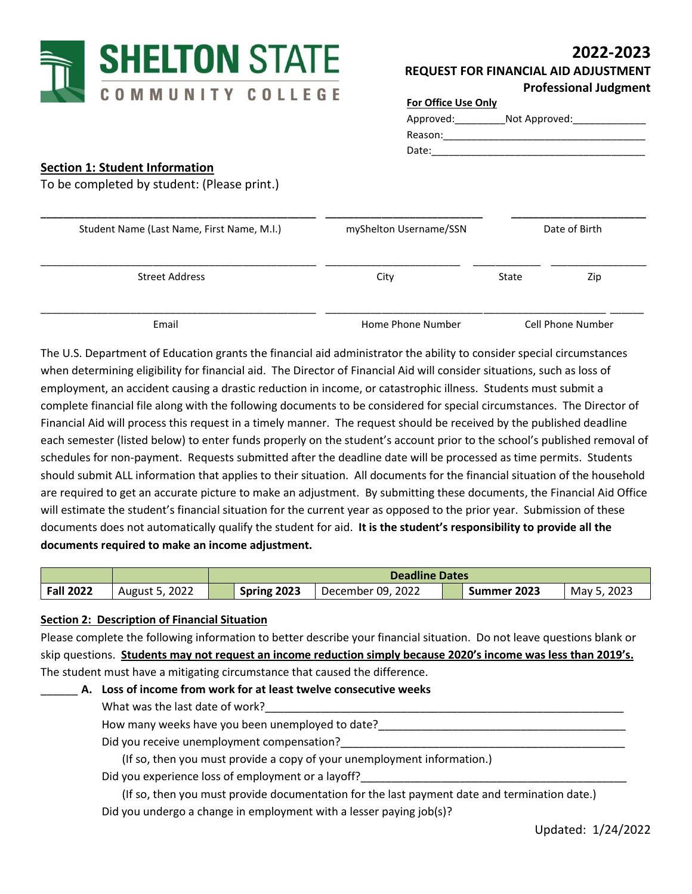

# **2022-2023**

| <b>REQUEST FOR FINANCIAL AID ADJUSTMENT</b> |
|---------------------------------------------|
| <b>Professional Judgment</b>                |

| <b>For Office Use Only</b> |               |
|----------------------------|---------------|
| Approved:                  | Not Approved: |
| Reason:                    |               |
| Date:                      |               |

## **Section 1: Student Information**

To be completed by student: (Please print.)

| Student Name (Last Name, First Name, M.I.) | myShelton Username/SSN | Date of Birth |                   |
|--------------------------------------------|------------------------|---------------|-------------------|
| <b>Street Address</b>                      | City                   | State         | Zip               |
| Email                                      | Home Phone Number      |               | Cell Phone Number |

The U.S. Department of Education grants the financial aid administrator the ability to consider special circumstances when determining eligibility for financial aid. The Director of Financial Aid will consider situations, such as loss of employment, an accident causing a drastic reduction in income, or catastrophic illness. Students must submit a complete financial file along with the following documents to be considered for special circumstances. The Director of Financial Aid will process this request in a timely manner. The request should be received by the published deadline each semester (listed below) to enter funds properly on the student's account prior to the school's published removal of schedules for non-payment. Requests submitted after the deadline date will be processed as time permits. Students should submit ALL information that applies to their situation. All documents for the financial situation of the household are required to get an accurate picture to make an adjustment. By submitting these documents, the Financial Aid Office will estimate the student's financial situation for the current year as opposed to the prior year. Submission of these documents does not automatically qualify the student for aid. **It is the student's responsibility to provide all the documents required to make an income adjustment.**

|                  |                | <b>Deadline Dates</b> |             |                   |  |             |             |
|------------------|----------------|-----------------------|-------------|-------------------|--|-------------|-------------|
| <b>Fall 2022</b> | August 5, 2022 |                       | Spring 2023 | December 09, 2022 |  | Summer 2023 | May 5, 2023 |

#### **Section 2: Description of Financial Situation**

Please complete the following information to better describe your financial situation. Do not leave questions blank or skip questions. **Students may not request an income reduction simply because 2020's income was less than 2019's.** The student must have a mitigating circumstance that caused the difference.

## \_\_\_\_\_\_ **A. Loss of income from work for at least twelve consecutive weeks**

#### What was the last date of work?

How many weeks have you been unemployed to date?

Did you receive unemployment compensation?

(If so, then you must provide a copy of your unemployment information.)

Did you experience loss of employment or a layoff?

(If so, then you must provide documentation for the last payment date and termination date.) Did you undergo a change in employment with a lesser paying job(s)?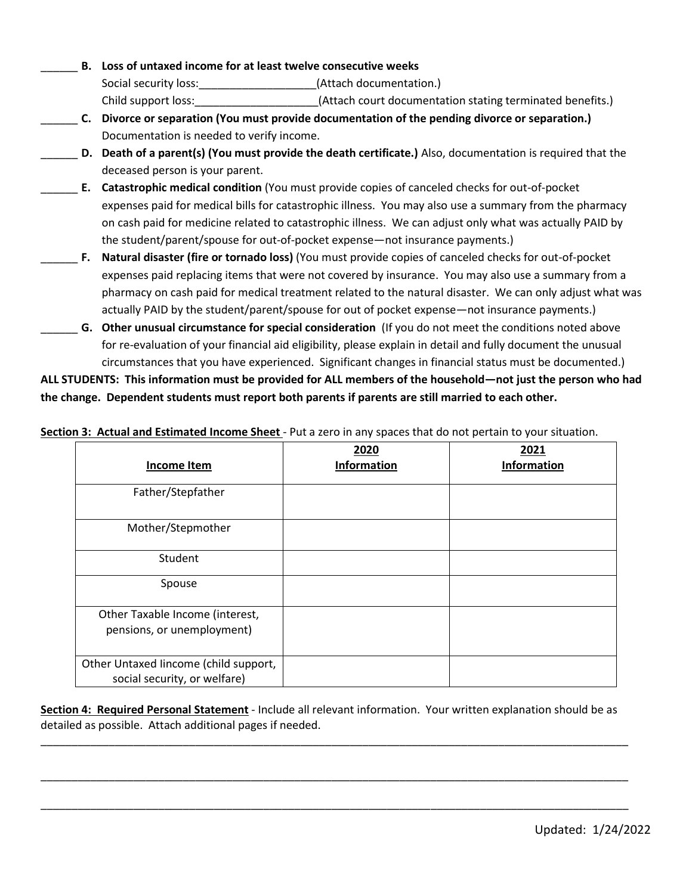- \_\_\_\_\_\_ **B. Loss of untaxed income for at least twelve consecutive weeks** Social security loss: \_\_\_\_\_\_\_\_\_\_\_\_\_\_\_\_\_\_\_\_\_\_\_\_\_(Attach documentation.) Child support loss:\_\_\_\_\_\_\_\_\_\_\_\_\_\_\_\_\_\_\_\_(Attach court documentation stating terminated benefits.) \_\_\_\_\_\_ **C. Divorce or separation (You must provide documentation of the pending divorce or separation.)** Documentation is needed to verify income.
- \_\_\_\_\_\_ **D. Death of a parent(s) (You must provide the death certificate.)** Also, documentation is required that the deceased person is your parent.
- \_\_\_\_\_\_ **E. Catastrophic medical condition** (You must provide copies of canceled checks for out-of-pocket expenses paid for medical bills for catastrophic illness. You may also use a summary from the pharmacy on cash paid for medicine related to catastrophic illness. We can adjust only what was actually PAID by the student/parent/spouse for out-of-pocket expense—not insurance payments.)
- \_\_\_\_\_\_ **F. Natural disaster (fire or tornado loss)** (You must provide copies of canceled checks for out-of-pocket expenses paid replacing items that were not covered by insurance. You may also use a summary from a pharmacy on cash paid for medical treatment related to the natural disaster. We can only adjust what was actually PAID by the student/parent/spouse for out of pocket expense—not insurance payments.)
- \_\_\_\_\_\_ **G. Other unusual circumstance for special consideration** (If you do not meet the conditions noted above for re-evaluation of your financial aid eligibility, please explain in detail and fully document the unusual circumstances that you have experienced. Significant changes in financial status must be documented.)

**ALL STUDENTS: This information must be provided for ALL members of the household—not just the person who had the change. Dependent students must report both parents if parents are still married to each other.**

**Section 3: Actual and Estimated Income Sheet** - Put a zero in any spaces that do not pertain to your situation.

| Income Item                                                           | 2020<br><b>Information</b> | 2021<br><b>Information</b> |
|-----------------------------------------------------------------------|----------------------------|----------------------------|
| Father/Stepfather                                                     |                            |                            |
| Mother/Stepmother                                                     |                            |                            |
| Student                                                               |                            |                            |
| Spouse                                                                |                            |                            |
| Other Taxable Income (interest,                                       |                            |                            |
| pensions, or unemployment)                                            |                            |                            |
| Other Untaxed lincome (child support,<br>social security, or welfare) |                            |                            |

**Section 4: Required Personal Statement** - Include all relevant information. Your written explanation should be as detailed as possible. Attach additional pages if needed.

\_\_\_\_\_\_\_\_\_\_\_\_\_\_\_\_\_\_\_\_\_\_\_\_\_\_\_\_\_\_\_\_\_\_\_\_\_\_\_\_\_\_\_\_\_\_\_\_\_\_\_\_\_\_\_\_\_\_\_\_\_\_\_\_\_\_\_\_\_\_\_\_\_\_\_\_\_\_\_\_\_\_\_\_\_\_\_\_\_\_\_\_\_\_\_

\_\_\_\_\_\_\_\_\_\_\_\_\_\_\_\_\_\_\_\_\_\_\_\_\_\_\_\_\_\_\_\_\_\_\_\_\_\_\_\_\_\_\_\_\_\_\_\_\_\_\_\_\_\_\_\_\_\_\_\_\_\_\_\_\_\_\_\_\_\_\_\_\_\_\_\_\_\_\_\_\_\_\_\_\_\_\_\_\_\_\_\_\_\_\_

\_\_\_\_\_\_\_\_\_\_\_\_\_\_\_\_\_\_\_\_\_\_\_\_\_\_\_\_\_\_\_\_\_\_\_\_\_\_\_\_\_\_\_\_\_\_\_\_\_\_\_\_\_\_\_\_\_\_\_\_\_\_\_\_\_\_\_\_\_\_\_\_\_\_\_\_\_\_\_\_\_\_\_\_\_\_\_\_\_\_\_\_\_\_\_